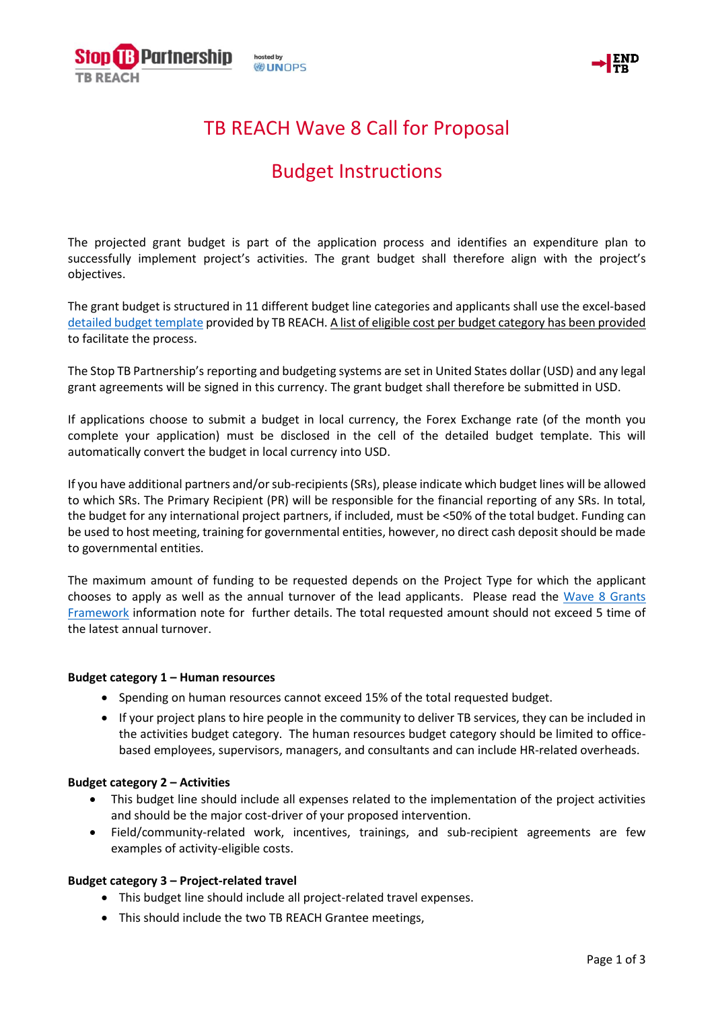



# TB REACH Wave 8 Call for Proposal

# Budget Instructions

The projected grant budget is part of the application process and identifies an expenditure plan to successfully implement project's activities. The grant budget shall therefore align with the project's objectives.

The grant budget is structured in 11 different budget line categories and applicants shall use the excel-based [detailed budget template](http://www.stoptb.org/assets/documents/global/awards/tbreach/W8_BudgetDetails.xls) provided by TB REACH. A list of eligible cost per budget category has been provided to facilitate the process.

The Stop TB Partnership's reporting and budgeting systems are set in United States dollar (USD) and any legal grant agreements will be signed in this currency. The grant budget shall therefore be submitted in USD.

If applications choose to submit a budget in local currency, the Forex Exchange rate (of the month you complete your application) must be disclosed in the cell of the detailed budget template. This will automatically convert the budget in local currency into USD.

If you have additional partners and/or sub-recipients (SRs), please indicate which budget lines will be allowed to which SRs. The Primary Recipient (PR) will be responsible for the financial reporting of any SRs. In total, the budget for any international project partners, if included, must be <50% of the total budget. Funding can be used to host meeting, training for governmental entities, however, no direct cash deposit should be made to governmental entities.

The maximum amount of funding to be requested depends on the Project Type for which the applicant chooses to apply as well as the annual turnover of the lead applicants. Please read the [Wave 8 Grants](http://www.stoptb.org/assets/documents/global/awards/tbreach/W8_Grant_Framework.pdf)  [Framework](http://www.stoptb.org/assets/documents/global/awards/tbreach/W8_Grant_Framework.pdf) information note for further details. The total requested amount should not exceed 5 time of the latest annual turnover.

## **Budget category 1 – Human resources**

- Spending on human resources cannot exceed 15% of the total requested budget.
- If your project plans to hire people in the community to deliver TB services, they can be included in the activities budget category. The human resources budget category should be limited to officebased employees, supervisors, managers, and consultants and can include HR-related overheads.

## **Budget category 2 – Activities**

- This budget line should include all expenses related to the implementation of the project activities and should be the major cost-driver of your proposed intervention.
- Field/community-related work, incentives, trainings, and sub-recipient agreements are few examples of activity-eligible costs.

## **Budget category 3 – Project-related travel**

- This budget line should include all project-related travel expenses.
- This should include the two TB REACH Grantee meetings,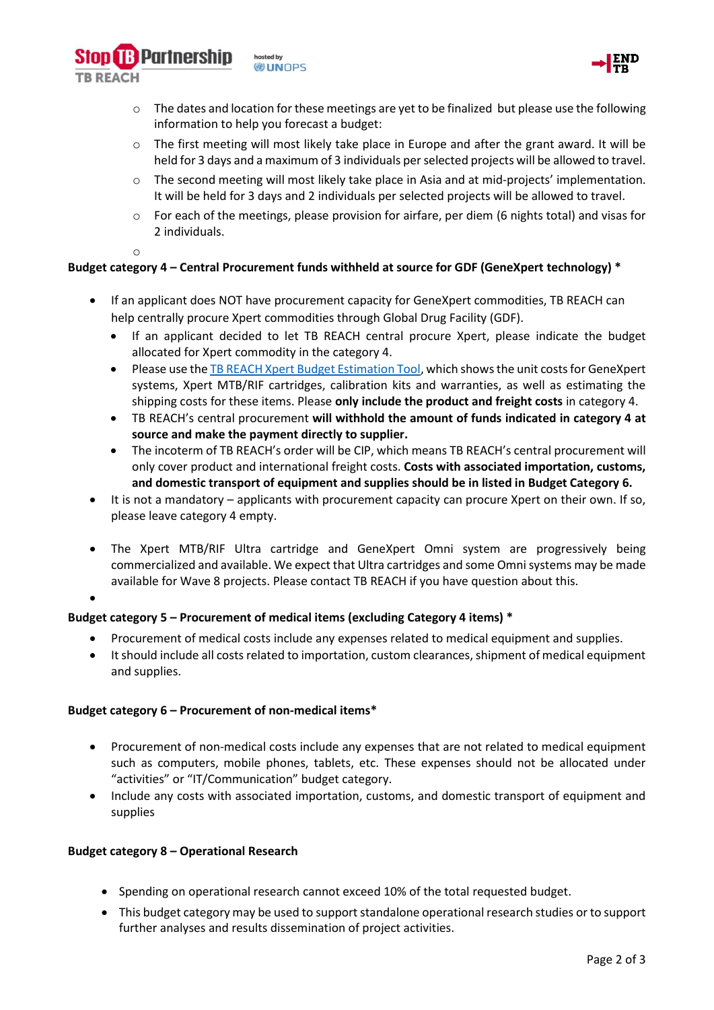hosted by **DUNOPS** 



- $\circ$  The dates and location for these meetings are yet to be finalized but please use the following information to help you forecast a budget:
- $\circ$  The first meeting will most likely take place in Europe and after the grant award. It will be held for 3 days and a maximum of 3 individuals per selected projects will be allowed to travel.
- o The second meeting will most likely take place in Asia and at mid-projects' implementation. It will be held for 3 days and 2 individuals per selected projects will be allowed to travel.
- o For each of the meetings, please provision for airfare, per diem (6 nights total) and visas for 2 individuals.
- o

**TR REACH** 

**B** Partnership

## **Budget category 4 – Central Procurement funds withheld at source for GDF (GeneXpert technology) \***

- If an applicant does NOT have procurement capacity for GeneXpert commodities, TB REACH can help centrally procure Xpert commodities through Global Drug Facility (GDF).
	- If an applicant decided to let TB REACH central procure Xpert, please indicate the budget allocated for Xpert commodity in the category 4.
	- Please use th[e TB REACH Xpert Budget Estimation Tool,](http://www.stoptb.org/global/awards/tbreach/bet.asp) which shows the unit costs for GeneXpert systems, Xpert MTB/RIF cartridges, calibration kits and warranties, as well as estimating the shipping costs for these items. Please **only include the product and freight costs** in category 4.
	- TB REACH's central procurement **will withhold the amount of funds indicated in category 4 at source and make the payment directly to supplier.**
	- The incoterm of TB REACH's order will be CIP, which means TB REACH's central procurement will only cover product and international freight costs. **Costs with associated importation, customs, and domestic transport of equipment and supplies should be in listed in Budget Category 6.**
- It is not a mandatory applicants with procurement capacity can procure Xpert on their own. If so, please leave category 4 empty.
- The Xpert MTB/RIF Ultra cartridge and GeneXpert Omni system are progressively being commercialized and available. We expect that Ultra cartridges and some Omni systems may be made available for Wave 8 projects. Please contact TB REACH if you have question about this.
- •

## **Budget category 5 – Procurement of medical items (excluding Category 4 items) \***

- Procurement of medical costs include any expenses related to medical equipment and supplies.
- It should include all costs related to importation, custom clearances, shipment of medical equipment and supplies.

## **Budget category 6 – Procurement of non-medical items\***

- Procurement of non-medical costs include any expenses that are not related to medical equipment such as computers, mobile phones, tablets, etc. These expenses should not be allocated under "activities" or "IT/Communication" budget category.
- Include any costs with associated importation, customs, and domestic transport of equipment and supplies

## **Budget category 8 – Operational Research**

- Spending on operational research cannot exceed 10% of the total requested budget.
- This budget category may be used to support standalone operational research studies or to support further analyses and results dissemination of project activities.